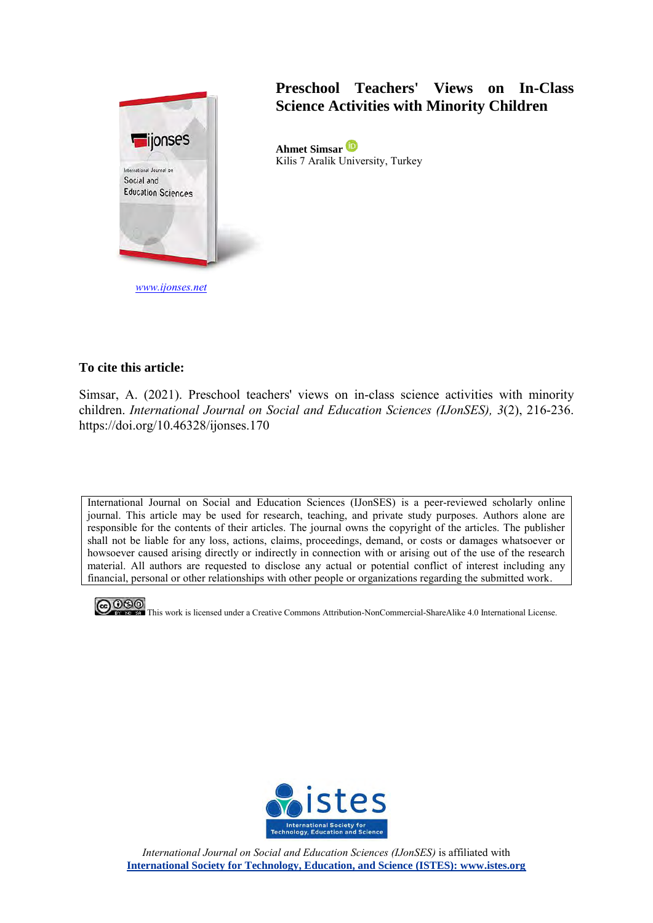

## **Preschool Teachers' Views on In-Class Science Activities with Minority Children**

**Ahmet Simsar** Kilis 7 Aralik University, Turkey

## **To cite this article:**

Simsar, A. (2021). Preschool teachers' views on in-class science activities with minority children. *International Journal on Social and Education Sciences (IJonSES), 3*(2), 216-236. https://doi.org/10.46328/ijonses.170

International Journal on Social and Education Sciences (IJonSES) is a peer-reviewed scholarly online journal. This article may be used for research, teaching, and private study purposes. Authors alone are responsible for the contents of their articles. The journal owns the copyright of the articles. The publisher shall not be liable for any loss, actions, claims, proceedings, demand, or costs or damages whatsoever or howsoever caused arising directly or indirectly in connection with or arising out of the use of the research material. All authors are requested to disclose any actual or potential conflict of interest including any financial, personal or other relationships with other people or organizations regarding the submitted work.



**COO**<br>This work is licensed under a Creative Commons Attribution-NonCommercial-ShareAlike 4.0 International License.



*International Journal on Social and Education Sciences (IJonSES)* is affiliated with **International Society for Technology, Education, and Science (ISTES): www.istes.org**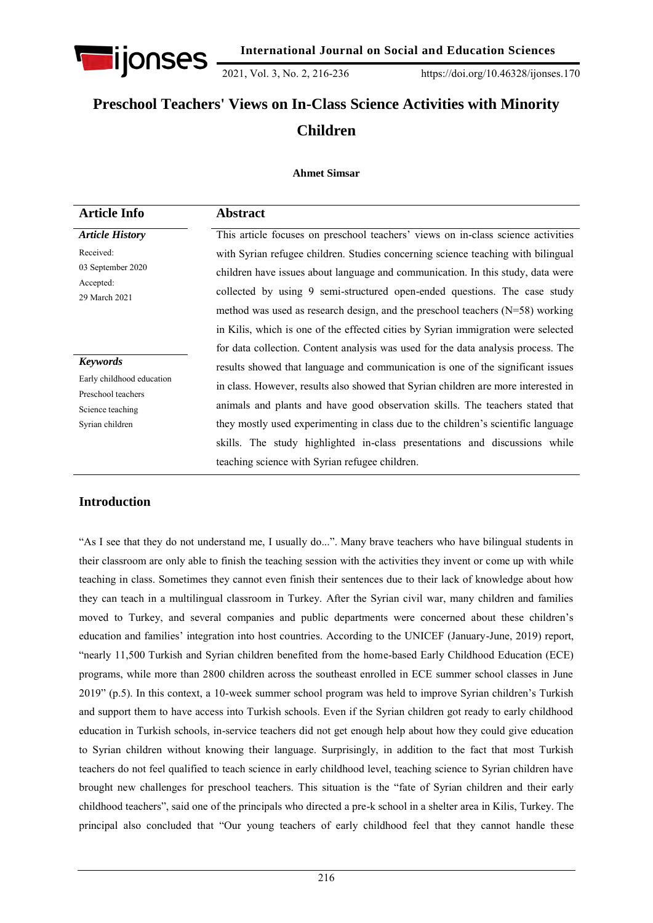

https://doi.org/10.46328/ijonses.170

# **Preschool Teachers' Views on In-Class Science Activities with Minority Children**

## **Ahmet Simsar**

| <b>Article Info</b>                                                 | <b>Abstract</b>                                                                    |  |  |
|---------------------------------------------------------------------|------------------------------------------------------------------------------------|--|--|
| <b>Article History</b>                                              | This article focuses on preschool teachers' views on in-class science activities   |  |  |
| Received:                                                           | with Syrian refugee children. Studies concerning science teaching with bilingual   |  |  |
| 03 September 2020                                                   | children have issues about language and communication. In this study, data were    |  |  |
| Accepted:<br>29 March 2021                                          | collected by using 9 semi-structured open-ended questions. The case study          |  |  |
|                                                                     | method was used as research design, and the preschool teachers $(N=58)$ working    |  |  |
|                                                                     | in Kilis, which is one of the effected cities by Syrian immigration were selected  |  |  |
|                                                                     | for data collection. Content analysis was used for the data analysis process. The  |  |  |
| <b>Keywords</b>                                                     | results showed that language and communication is one of the significant issues    |  |  |
| Early childhood education<br>Preschool teachers<br>Science teaching | in class. However, results also showed that Syrian children are more interested in |  |  |
|                                                                     | animals and plants and have good observation skills. The teachers stated that      |  |  |
| Syrian children                                                     | they mostly used experimenting in class due to the children's scientific language  |  |  |
|                                                                     | skills. The study highlighted in-class presentations and discussions while         |  |  |
|                                                                     | teaching science with Syrian refugee children.                                     |  |  |

## **Introduction**

"As I see that they do not understand me, I usually do...". Many brave teachers who have bilingual students in their classroom are only able to finish the teaching session with the activities they invent or come up with while teaching in class. Sometimes they cannot even finish their sentences due to their lack of knowledge about how they can teach in a multilingual classroom in Turkey. After the Syrian civil war, many children and families moved to Turkey, and several companies and public departments were concerned about these children's education and families' integration into host countries. According to the UNICEF (January-June, 2019) report, "nearly 11,500 Turkish and Syrian children benefited from the home-based Early Childhood Education (ECE) programs, while more than 2800 children across the southeast enrolled in ECE summer school classes in June 2019" (p.5). In this context, a 10-week summer school program was held to improve Syrian children's Turkish and support them to have access into Turkish schools. Even if the Syrian children got ready to early childhood education in Turkish schools, in-service teachers did not get enough help about how they could give education to Syrian children without knowing their language. Surprisingly, in addition to the fact that most Turkish teachers do not feel qualified to teach science in early childhood level, teaching science to Syrian children have brought new challenges for preschool teachers. This situation is the "fate of Syrian children and their early childhood teachers", said one of the principals who directed a pre-k school in a shelter area in Kilis, Turkey. The principal also concluded that "Our young teachers of early childhood feel that they cannot handle these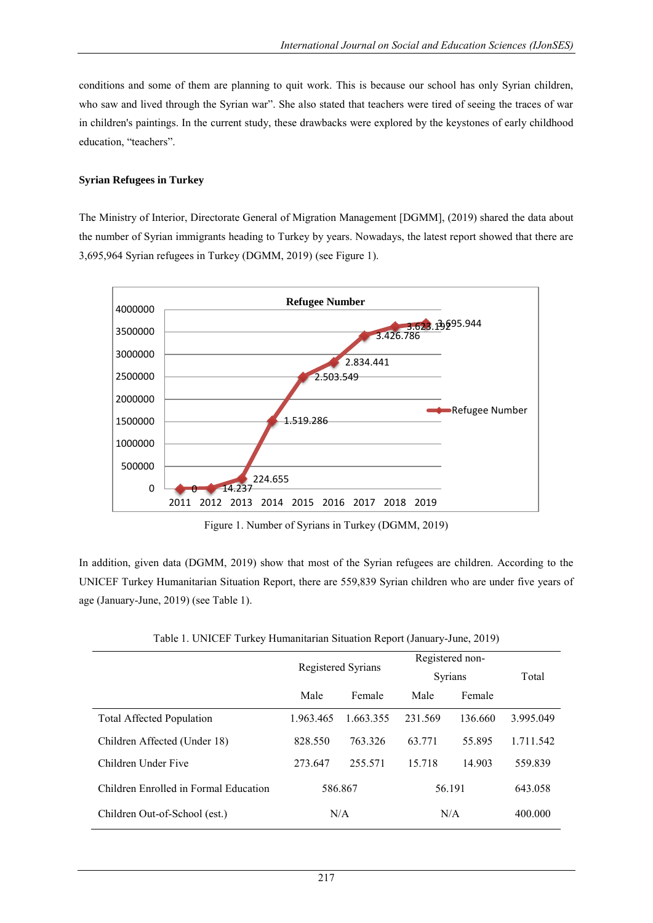conditions and some of them are planning to quit work. This is because our school has only Syrian children, who saw and lived through the Syrian war". She also stated that teachers were tired of seeing the traces of war in children's paintings. In the current study, these drawbacks were explored by the keystones of early childhood education, "teachers".

## **Syrian Refugees in Turkey**

The Ministry of Interior, Directorate General of Migration Management [DGMM], (2019) shared the data about the number of Syrian immigrants heading to Turkey by years. Nowadays, the latest report showed that there are 3,695,964 Syrian refugees in Turkey (DGMM, 2019) (see Figure 1).



Figure 1. Number of Syrians in Turkey (DGMM, 2019)

In addition, given data (DGMM, 2019) show that most of the Syrian refugees are children. According to the UNICEF Turkey Humanitarian Situation Report, there are 559,839 Syrian children who are under five years of age (January-June, 2019) (see Table 1).

| Tuble 1. OTTOLI TURKY Humanitanan bituation Report (January June, 2017) |                |                           |                                   |         |           |  |
|-------------------------------------------------------------------------|----------------|---------------------------|-----------------------------------|---------|-----------|--|
|                                                                         |                | <b>Registered Syrians</b> | Registered non-<br><b>Syrians</b> | Total   |           |  |
|                                                                         | Male<br>Female |                           | Male                              | Female  |           |  |
| <b>Total Affected Population</b>                                        | 1.963.465      | 1.663.355                 | 231.569                           | 136.660 | 3.995.049 |  |
| Children Affected (Under 18)                                            | 828.550        | 763.326                   | 63.771                            | 55.895  | 1.711.542 |  |
| Children Under Five                                                     | 273.647        | 255.571                   | 15.718                            | 14.903  | 559.839   |  |
| Children Enrolled in Formal Education                                   | 586.867        |                           | 56.191                            |         | 643.058   |  |
| Children Out-of-School (est.)                                           | N/A            |                           | N/A                               |         | 400.000   |  |

Table 1. UNICEF Turkey Humanitarian Situation Report (January-June, 2019)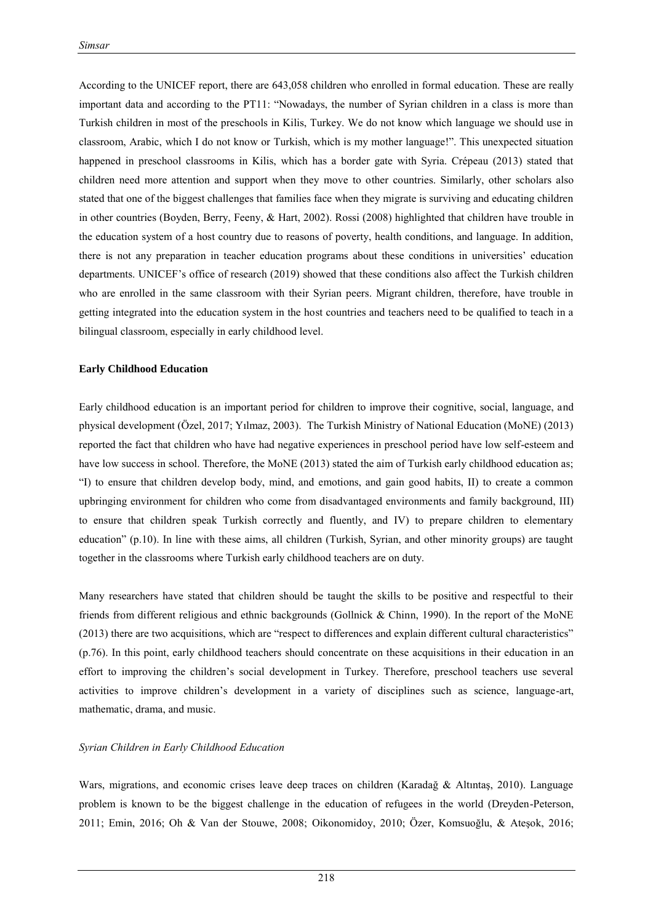According to the UNICEF report, there are 643,058 children who enrolled in formal education. These are really important data and according to the PT11: "Nowadays, the number of Syrian children in a class is more than Turkish children in most of the preschools in Kilis, Turkey. We do not know which language we should use in classroom, Arabic, which I do not know or Turkish, which is my mother language!". This unexpected situation happened in preschool classrooms in Kilis, which has a border gate with Syria. Crépeau (2013) stated that children need more attention and support when they move to other countries. Similarly, other scholars also stated that one of the biggest challenges that families face when they migrate is surviving and educating children in other countries (Boyden, Berry, Feeny, & Hart, 2002). Rossi (2008) highlighted that children have trouble in the education system of a host country due to reasons of poverty, health conditions, and language. In addition, there is not any preparation in teacher education programs about these conditions in universities' education departments. UNICEF's office of research (2019) showed that these conditions also affect the Turkish children who are enrolled in the same classroom with their Syrian peers. Migrant children, therefore, have trouble in getting integrated into the education system in the host countries and teachers need to be qualified to teach in a bilingual classroom, especially in early childhood level.

#### **Early Childhood Education**

Early childhood education is an important period for children to improve their cognitive, social, language, and physical development (Özel, 2017; Yılmaz, 2003). The Turkish Ministry of National Education (MoNE) (2013) reported the fact that children who have had negative experiences in preschool period have low self-esteem and have low success in school. Therefore, the MoNE (2013) stated the aim of Turkish early childhood education as; "I) to ensure that children develop body, mind, and emotions, and gain good habits, II) to create a common upbringing environment for children who come from disadvantaged environments and family background, III) to ensure that children speak Turkish correctly and fluently, and IV) to prepare children to elementary education" (p.10). In line with these aims, all children (Turkish, Syrian, and other minority groups) are taught together in the classrooms where Turkish early childhood teachers are on duty.

Many researchers have stated that children should be taught the skills to be positive and respectful to their friends from different religious and ethnic backgrounds (Gollnick & Chinn, 1990). In the report of the MoNE (2013) there are two acquisitions, which are "respect to differences and explain different cultural characteristics" (p.76). In this point, early childhood teachers should concentrate on these acquisitions in their education in an effort to improving the children's social development in Turkey. Therefore, preschool teachers use several activities to improve children's development in a variety of disciplines such as science, language-art, mathematic, drama, and music.

#### *Syrian Children in Early Childhood Education*

Wars, migrations, and economic crises leave deep traces on children (Karadağ & Altıntaş, 2010). Language problem is known to be the biggest challenge in the education of refugees in the world (Dreyden-Peterson, 2011; Emin, 2016; Oh & Van der Stouwe, 2008; Oikonomidoy, 2010; Özer, Komsuoğlu, & Ateşok, 2016;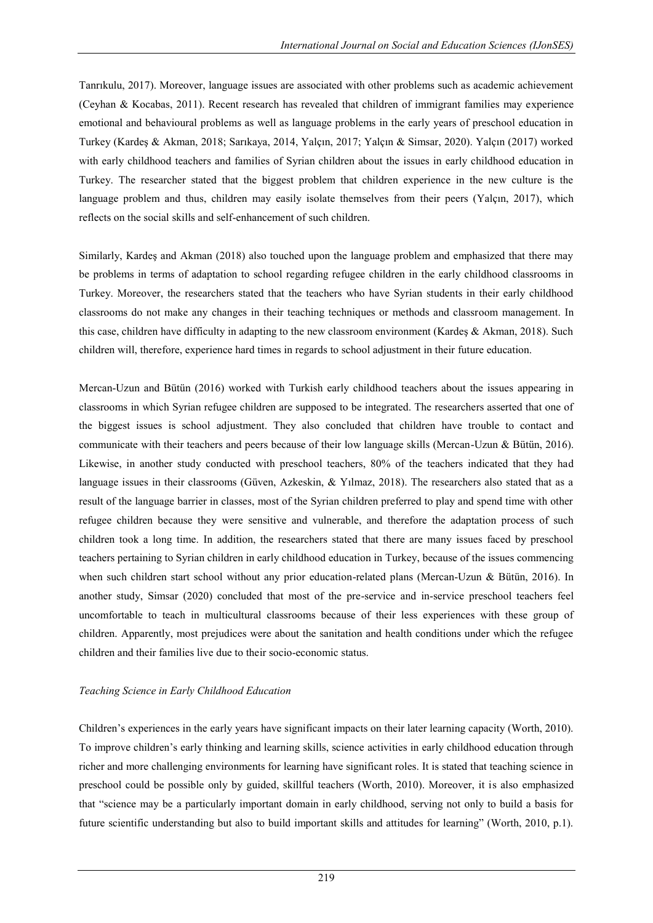Tanrıkulu, 2017). Moreover, language issues are associated with other problems such as academic achievement (Ceyhan & Kocabas, 2011). Recent research has revealed that children of immigrant families may experience emotional and behavioural problems as well as language problems in the early years of preschool education in Turkey (Kardeş & Akman, 2018; Sarıkaya, 2014, Yalçın, 2017; Yalçın & Simsar, 2020). Yalçın (2017) worked with early childhood teachers and families of Syrian children about the issues in early childhood education in Turkey. The researcher stated that the biggest problem that children experience in the new culture is the language problem and thus, children may easily isolate themselves from their peers (Yalcın, 2017), which reflects on the social skills and self-enhancement of such children.

Similarly, Kardeş and Akman (2018) also touched upon the language problem and emphasized that there may be problems in terms of adaptation to school regarding refugee children in the early childhood classrooms in Turkey. Moreover, the researchers stated that the teachers who have Syrian students in their early childhood classrooms do not make any changes in their teaching techniques or methods and classroom management. In this case, children have difficulty in adapting to the new classroom environment (Kardeş & Akman, 2018). Such children will, therefore, experience hard times in regards to school adjustment in their future education.

Mercan-Uzun and Bütün (2016) worked with Turkish early childhood teachers about the issues appearing in classrooms in which Syrian refugee children are supposed to be integrated. The researchers asserted that one of the biggest issues is school adjustment. They also concluded that children have trouble to contact and communicate with their teachers and peers because of their low language skills (Mercan-Uzun & Bütün, 2016). Likewise, in another study conducted with preschool teachers, 80% of the teachers indicated that they had language issues in their classrooms (Güven, Azkeskin, & Yılmaz, 2018). The researchers also stated that as a result of the language barrier in classes, most of the Syrian children preferred to play and spend time with other refugee children because they were sensitive and vulnerable, and therefore the adaptation process of such children took a long time. In addition, the researchers stated that there are many issues faced by preschool teachers pertaining to Syrian children in early childhood education in Turkey, because of the issues commencing when such children start school without any prior education-related plans (Mercan-Uzun & Bütün, 2016). In another study, Simsar (2020) concluded that most of the pre-service and in-service preschool teachers feel uncomfortable to teach in multicultural classrooms because of their less experiences with these group of children. Apparently, most prejudices were about the sanitation and health conditions under which the refugee children and their families live due to their socio-economic status.

## *Teaching Science in Early Childhood Education*

Children's experiences in the early years have significant impacts on their later learning capacity (Worth, 2010). To improve children's early thinking and learning skills, science activities in early childhood education through richer and more challenging environments for learning have significant roles. It is stated that teaching science in preschool could be possible only by guided, skillful teachers (Worth, 2010). Moreover, it is also emphasized that "science may be a particularly important domain in early childhood, serving not only to build a basis for future scientific understanding but also to build important skills and attitudes for learning" (Worth, 2010, p.1).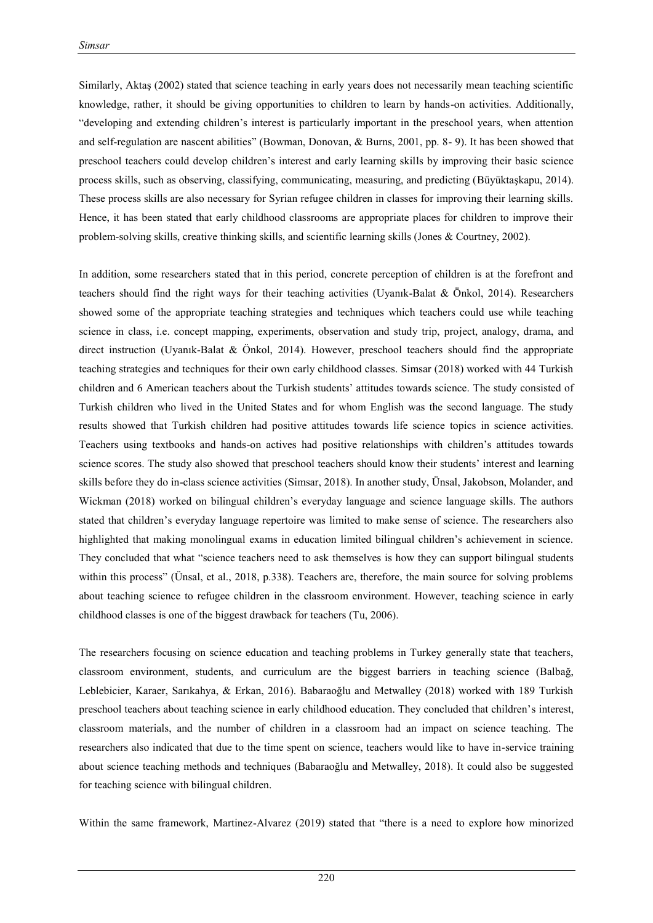Similarly, Aktaş (2002) stated that science teaching in early years does not necessarily mean teaching scientific knowledge, rather, it should be giving opportunities to children to learn by hands-on activities. Additionally, "developing and extending children's interest is particularly important in the preschool years, when attention and self-regulation are nascent abilities" (Bowman, Donovan, & Burns, 2001, pp. 8- 9). It has been showed that preschool teachers could develop children's interest and early learning skills by improving their basic science process skills, such as observing, classifying, communicating, measuring, and predicting (Büyüktaşkapu, 2014). These process skills are also necessary for Syrian refugee children in classes for improving their learning skills. Hence, it has been stated that early childhood classrooms are appropriate places for children to improve their problem-solving skills, creative thinking skills, and scientific learning skills (Jones & Courtney, 2002).

In addition, some researchers stated that in this period, concrete perception of children is at the forefront and teachers should find the right ways for their teaching activities (Uyanık-Balat & Önkol, 2014). Researchers showed some of the appropriate teaching strategies and techniques which teachers could use while teaching science in class, i.e. concept mapping, experiments, observation and study trip, project, analogy, drama, and direct instruction (Uyanık-Balat & Önkol, 2014). However, preschool teachers should find the appropriate teaching strategies and techniques for their own early childhood classes. Simsar (2018) worked with 44 Turkish children and 6 American teachers about the Turkish students' attitudes towards science. The study consisted of Turkish children who lived in the United States and for whom English was the second language. The study results showed that Turkish children had positive attitudes towards life science topics in science activities. Teachers using textbooks and hands-on actives had positive relationships with children's attitudes towards science scores. The study also showed that preschool teachers should know their students' interest and learning skills before they do in-class science activities (Simsar, 2018). In another study, Ünsal, Jakobson, Molander, and Wickman (2018) worked on bilingual children's everyday language and science language skills. The authors stated that children's everyday language repertoire was limited to make sense of science. The researchers also highlighted that making monolingual exams in education limited bilingual children's achievement in science. They concluded that what "science teachers need to ask themselves is how they can support bilingual students within this process" (Ünsal, et al., 2018, p.338). Teachers are, therefore, the main source for solving problems about teaching science to refugee children in the classroom environment. However, teaching science in early childhood classes is one of the biggest drawback for teachers (Tu, 2006).

The researchers focusing on science education and teaching problems in Turkey generally state that teachers, classroom environment, students, and curriculum are the biggest barriers in teaching science (Balbağ, Leblebicier, Karaer, Sarıkahya, & Erkan, 2016). Babaraoğlu and Metwalley (2018) worked with 189 Turkish preschool teachers about teaching science in early childhood education. They concluded that children's interest, classroom materials, and the number of children in a classroom had an impact on science teaching. The researchers also indicated that due to the time spent on science, teachers would like to have in-service training about science teaching methods and techniques (Babaraoğlu and Metwalley, 2018). It could also be suggested for teaching science with bilingual children.

Within the same framework, Martinez-Alvarez (2019) stated that "there is a need to explore how minorized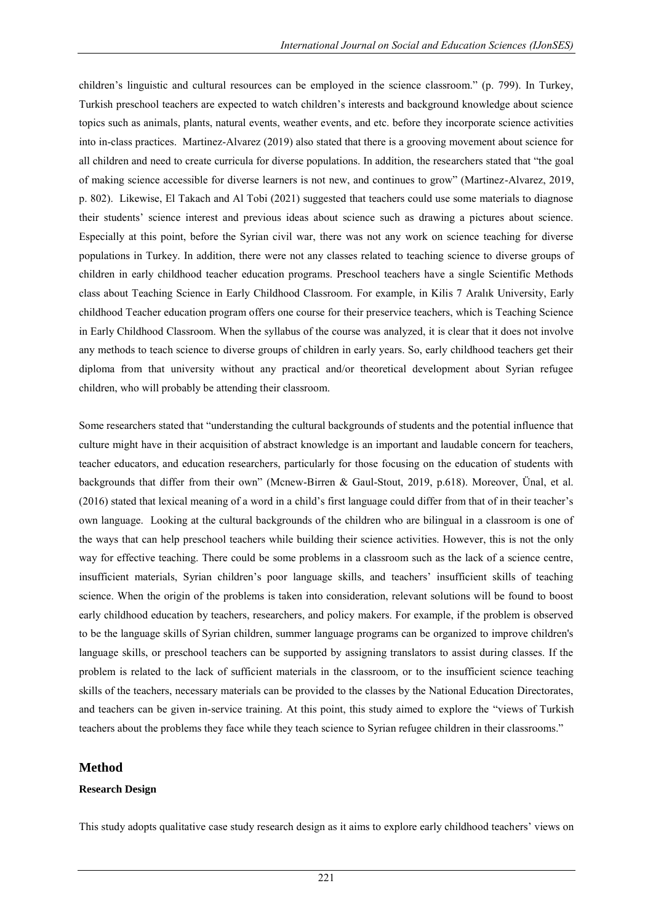children's linguistic and cultural resources can be employed in the science classroom." (p. 799). In Turkey, Turkish preschool teachers are expected to watch children's interests and background knowledge about science topics such as animals, plants, natural events, weather events, and etc. before they incorporate science activities into in-class practices. Martinez-Alvarez (2019) also stated that there is a grooving movement about science for all children and need to create curricula for diverse populations. In addition, the researchers stated that "the goal of making science accessible for diverse learners is not new, and continues to grow" (Martinez-Alvarez, 2019, p. 802). Likewise, El Takach and Al Tobi (2021) suggested that teachers could use some materials to diagnose their students' science interest and previous ideas about science such as drawing a pictures about science. Especially at this point, before the Syrian civil war, there was not any work on science teaching for diverse populations in Turkey. In addition, there were not any classes related to teaching science to diverse groups of children in early childhood teacher education programs. Preschool teachers have a single Scientific Methods class about Teaching Science in Early Childhood Classroom. For example, in Kilis 7 Aralık University, Early childhood Teacher education program offers one course for their preservice teachers, which is Teaching Science in Early Childhood Classroom. When the syllabus of the course was analyzed, it is clear that it does not involve any methods to teach science to diverse groups of children in early years. So, early childhood teachers get their diploma from that university without any practical and/or theoretical development about Syrian refugee children, who will probably be attending their classroom.

Some researchers stated that "understanding the cultural backgrounds of students and the potential influence that culture might have in their acquisition of abstract knowledge is an important and laudable concern for teachers, teacher educators, and education researchers, particularly for those focusing on the education of students with backgrounds that differ from their own" (Mcnew-Birren & Gaul-Stout, 2019, p.618). Moreover, Ünal, et al. (2016) stated that lexical meaning of a word in a child's first language could differ from that of in their teacher's own language. Looking at the cultural backgrounds of the children who are bilingual in a classroom is one of the ways that can help preschool teachers while building their science activities. However, this is not the only way for effective teaching. There could be some problems in a classroom such as the lack of a science centre, insufficient materials, Syrian children's poor language skills, and teachers' insufficient skills of teaching science. When the origin of the problems is taken into consideration, relevant solutions will be found to boost early childhood education by teachers, researchers, and policy makers. For example, if the problem is observed to be the language skills of Syrian children, summer language programs can be organized to improve children's language skills, or preschool teachers can be supported by assigning translators to assist during classes. If the problem is related to the lack of sufficient materials in the classroom, or to the insufficient science teaching skills of the teachers, necessary materials can be provided to the classes by the National Education Directorates, and teachers can be given in-service training. At this point, this study aimed to explore the "views of Turkish teachers about the problems they face while they teach science to Syrian refugee children in their classrooms."

#### **Method**

#### **Research Design**

This study adopts qualitative case study research design as it aims to explore early childhood teachers' views on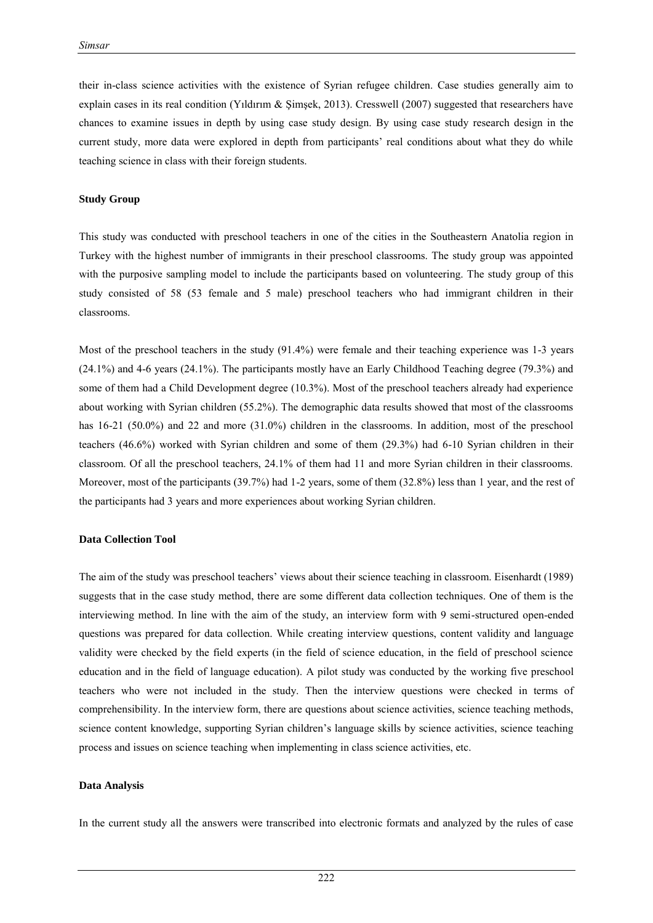their in-class science activities with the existence of Syrian refugee children. Case studies generally aim to explain cases in its real condition (Yıldırım & Simsek, 2013). Cresswell (2007) suggested that researchers have chances to examine issues in depth by using case study design. By using case study research design in the current study, more data were explored in depth from participants' real conditions about what they do while teaching science in class with their foreign students.

#### **Study Group**

This study was conducted with preschool teachers in one of the cities in the Southeastern Anatolia region in Turkey with the highest number of immigrants in their preschool classrooms. The study group was appointed with the purposive sampling model to include the participants based on volunteering. The study group of this study consisted of 58 (53 female and 5 male) preschool teachers who had immigrant children in their classrooms.

Most of the preschool teachers in the study  $(91.4\%)$  were female and their teaching experience was 1-3 years (24.1%) and 4-6 years (24.1%). The participants mostly have an Early Childhood Teaching degree (79.3%) and some of them had a Child Development degree (10.3%). Most of the preschool teachers already had experience about working with Syrian children (55.2%). The demographic data results showed that most of the classrooms has 16-21 (50.0%) and 22 and more (31.0%) children in the classrooms. In addition, most of the preschool teachers (46.6%) worked with Syrian children and some of them (29.3%) had 6-10 Syrian children in their classroom. Of all the preschool teachers, 24.1% of them had 11 and more Syrian children in their classrooms. Moreover, most of the participants (39.7%) had 1-2 years, some of them (32.8%) less than 1 year, and the rest of the participants had 3 years and more experiences about working Syrian children.

#### **Data Collection Tool**

The aim of the study was preschool teachers' views about their science teaching in classroom. Eisenhardt (1989) suggests that in the case study method, there are some different data collection techniques. One of them is the interviewing method. In line with the aim of the study, an interview form with 9 semi-structured open-ended questions was prepared for data collection. While creating interview questions, content validity and language validity were checked by the field experts (in the field of science education, in the field of preschool science education and in the field of language education). A pilot study was conducted by the working five preschool teachers who were not included in the study. Then the interview questions were checked in terms of comprehensibility. In the interview form, there are questions about science activities, science teaching methods, science content knowledge, supporting Syrian children's language skills by science activities, science teaching process and issues on science teaching when implementing in class science activities, etc.

#### **Data Analysis**

In the current study all the answers were transcribed into electronic formats and analyzed by the rules of case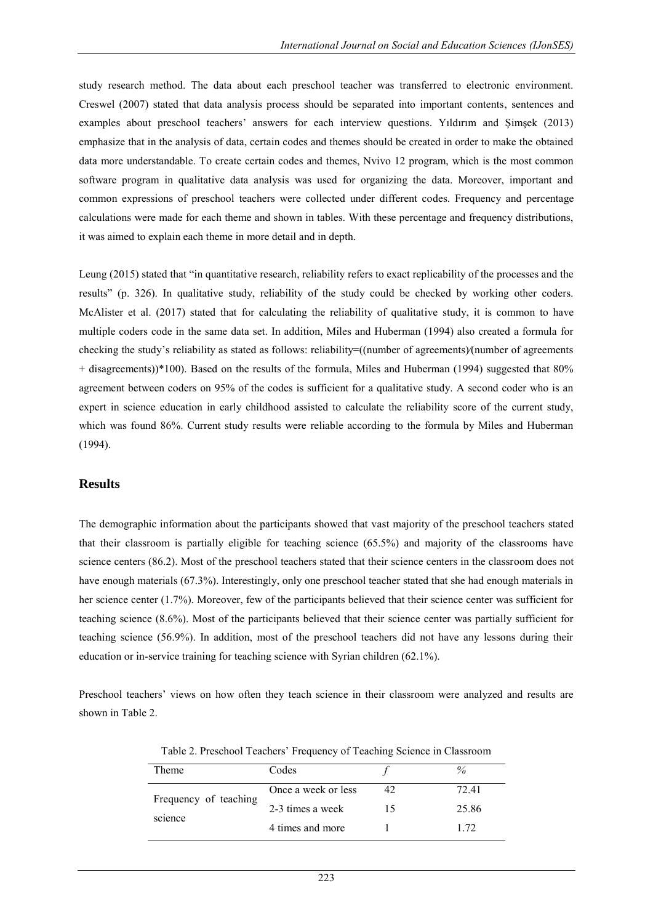study research method. The data about each preschool teacher was transferred to electronic environment. Creswel (2007) stated that data analysis process should be separated into important contents, sentences and examples about preschool teachers' answers for each interview questions. Yıldırım and Şimşek (2013) emphasize that in the analysis of data, certain codes and themes should be created in order to make the obtained data more understandable. To create certain codes and themes, Nvivo 12 program, which is the most common software program in qualitative data analysis was used for organizing the data. Moreover, important and common expressions of preschool teachers were collected under different codes. Frequency and percentage calculations were made for each theme and shown in tables. With these percentage and frequency distributions, it was aimed to explain each theme in more detail and in depth.

Leung (2015) stated that "in quantitative research, reliability refers to exact replicability of the processes and the results" (p. 326). In qualitative study, reliability of the study could be checked by working other coders. McAlister et al. (2017) stated that for calculating the reliability of qualitative study, it is common to have multiple coders code in the same data set. In addition, Miles and Huberman (1994) also created a formula for checking the study's reliability as stated as follows: reliability=((number of agreements)⁄(number of agreements  $+$  disagreements))\*100). Based on the results of the formula, Miles and Huberman (1994) suggested that 80% agreement between coders on 95% of the codes is sufficient for a qualitative study. A second coder who is an expert in science education in early childhood assisted to calculate the reliability score of the current study, which was found 86%. Current study results were reliable according to the formula by Miles and Huberman (1994).

#### **Results**

The demographic information about the participants showed that vast majority of the preschool teachers stated that their classroom is partially eligible for teaching science (65.5%) and majority of the classrooms have science centers (86.2). Most of the preschool teachers stated that their science centers in the classroom does not have enough materials (67.3%). Interestingly, only one preschool teacher stated that she had enough materials in her science center (1.7%). Moreover, few of the participants believed that their science center was sufficient for teaching science (8.6%). Most of the participants believed that their science center was partially sufficient for teaching science (56.9%). In addition, most of the preschool teachers did not have any lessons during their education or in-service training for teaching science with Syrian children (62.1%).

Preschool teachers' views on how often they teach science in their classroom were analyzed and results are shown in Table 2.

| Theme                            | Codes               |    | %     |
|----------------------------------|---------------------|----|-------|
| Frequency of teaching<br>science | Once a week or less | 42 | 72.41 |
|                                  | 2-3 times a week    | 15 | 25.86 |
|                                  | 4 times and more    |    | 1 72  |
|                                  |                     |    |       |

Table 2. Preschool Teachers' Frequency of Teaching Science in Classroom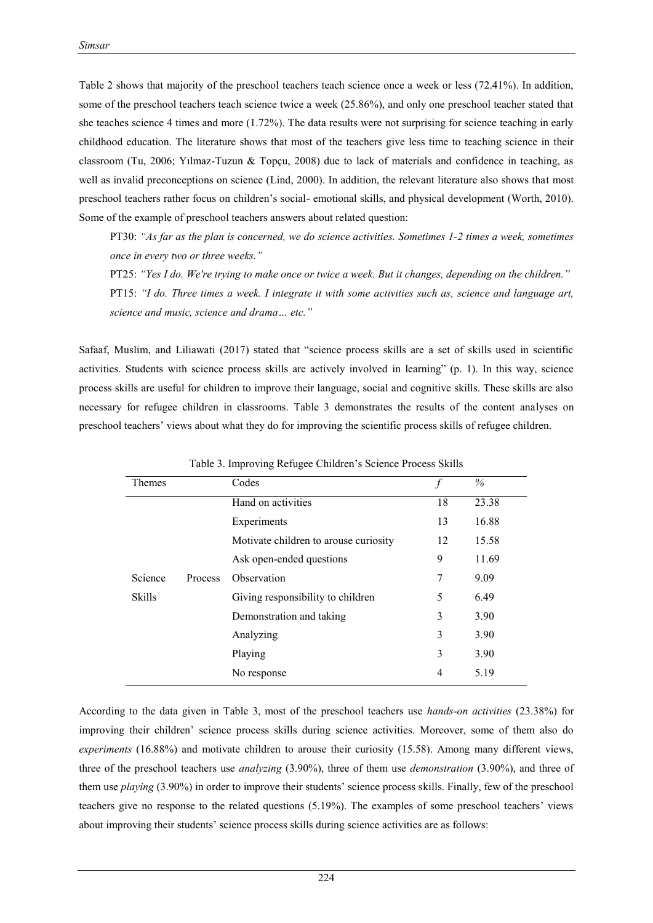Table 2 shows that majority of the preschool teachers teach science once a week or less (72.41%). In addition, some of the preschool teachers teach science twice a week (25.86%), and only one preschool teacher stated that she teaches science 4 times and more (1.72%). The data results were not surprising for science teaching in early childhood education. The literature shows that most of the teachers give less time to teaching science in their classroom (Tu, 2006; Yılmaz-Tuzun & Topçu, 2008) due to lack of materials and confidence in teaching, as well as invalid preconceptions on science (Lind, 2000). In addition, the relevant literature also shows that most preschool teachers rather focus on children's social- emotional skills, and physical development (Worth, 2010). Some of the example of preschool teachers answers about related question:

PT30: *"As far as the plan is concerned, we do science activities. Sometimes 1-2 times a week, sometimes once in every two or three weeks."*

PT25: *"Yes I do. We're trying to make once or twice a week. But it changes, depending on the children."* PT15: *"I do. Three times a week. I integrate it with some activities such as, science and language art, science and music, science and drama… etc."*

Safaaf, Muslim, and Liliawati (2017) stated that "science process skills are a set of skills used in scientific activities. Students with science process skills are actively involved in learning" (p. 1). In this way, science process skills are useful for children to improve their language, social and cognitive skills. These skills are also necessary for refugee children in classrooms. Table 3 demonstrates the results of the content analyses on preschool teachers' views about what they do for improving the scientific process skills of refugee children.

| <b>Themes</b> |                | Codes                                 |    | $\%$  |
|---------------|----------------|---------------------------------------|----|-------|
|               |                | Hand on activities                    | 18 | 23.38 |
|               |                | Experiments                           | 13 | 16.88 |
|               |                | Motivate children to arouse curiosity | 12 | 15.58 |
|               |                | Ask open-ended questions              | 9  | 11.69 |
| Science       | <b>Process</b> | Observation                           | 7  | 9.09  |
| <b>Skills</b> |                | Giving responsibility to children     | 5  | 6.49  |
|               |                | Demonstration and taking              | 3  | 3.90  |
|               |                | Analyzing                             | 3  | 3.90  |
|               |                | Playing                               | 3  | 3.90  |
|               |                | No response                           | 4  | 5.19  |
|               |                |                                       |    |       |

Table 3. Improving Refugee Children's Science Process Skills

According to the data given in Table 3, most of the preschool teachers use *hands-on activities* (23.38%) for improving their children' science process skills during science activities. Moreover, some of them also do *experiments* (16.88%) and motivate children to arouse their curiosity (15.58). Among many different views, three of the preschool teachers use *analyzing* (3.90%), three of them use *demonstration* (3.90%), and three of them use *playing* (3.90%) in order to improve their students' science process skills. Finally, few of the preschool teachers give no response to the related questions (5.19%). The examples of some preschool teachers' views about improving their students' science process skills during science activities are as follows: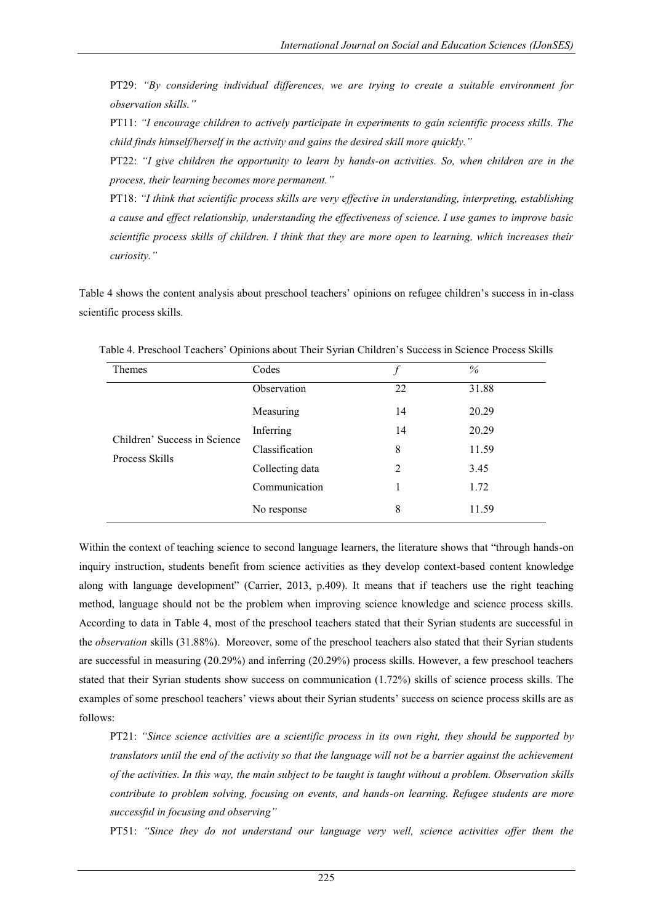PT29: *"By considering individual differences, we are trying to create a suitable environment for observation skills."*

PT11: *"I encourage children to actively participate in experiments to gain scientific process skills. The child finds himself/herself in the activity and gains the desired skill more quickly."* 

PT22: *"I give children the opportunity to learn by hands-on activities. So, when children are in the process, their learning becomes more permanent."* 

PT18: *"I think that scientific process skills are very effective in understanding, interpreting, establishing a cause and effect relationship, understanding the effectiveness of science. I use games to improve basic scientific process skills of children. I think that they are more open to learning, which increases their curiosity."* 

Table 4 shows the content analysis about preschool teachers' opinions on refugee children's success in in-class scientific process skills.

| <b>Themes</b>                | Codes           |    | $\%$  |
|------------------------------|-----------------|----|-------|
|                              | Observation     | 22 | 31.88 |
|                              | Measuring       | 14 | 20.29 |
| Children' Success in Science | Inferring       | 14 | 20.29 |
| Process Skills               | Classification  | 8  | 11.59 |
|                              | Collecting data | 2  | 3.45  |
|                              | Communication   |    | 1.72  |
|                              | No response     | 8  | 11.59 |

Table 4. Preschool Teachers' Opinions about Their Syrian Children's Success in Science Process Skills

Within the context of teaching science to second language learners, the literature shows that "through hands-on inquiry instruction, students benefit from science activities as they develop context-based content knowledge along with language development" (Carrier, 2013, p.409). It means that if teachers use the right teaching method, language should not be the problem when improving science knowledge and science process skills. According to data in Table 4, most of the preschool teachers stated that their Syrian students are successful in the *observation* skills (31.88%). Moreover, some of the preschool teachers also stated that their Syrian students are successful in measuring (20.29%) and inferring (20.29%) process skills. However, a few preschool teachers stated that their Syrian students show success on communication (1.72%) skills of science process skills. The examples of some preschool teachers' views about their Syrian students' success on science process skills are as follows:

PT21: *"Since science activities are a scientific process in its own right, they should be supported by translators until the end of the activity so that the language will not be a barrier against the achievement of the activities. In this way, the main subject to be taught is taught without a problem. Observation skills contribute to problem solving, focusing on events, and hands-on learning. Refugee students are more successful in focusing and observing"* 

PT51: *"Since they do not understand our language very well, science activities offer them the*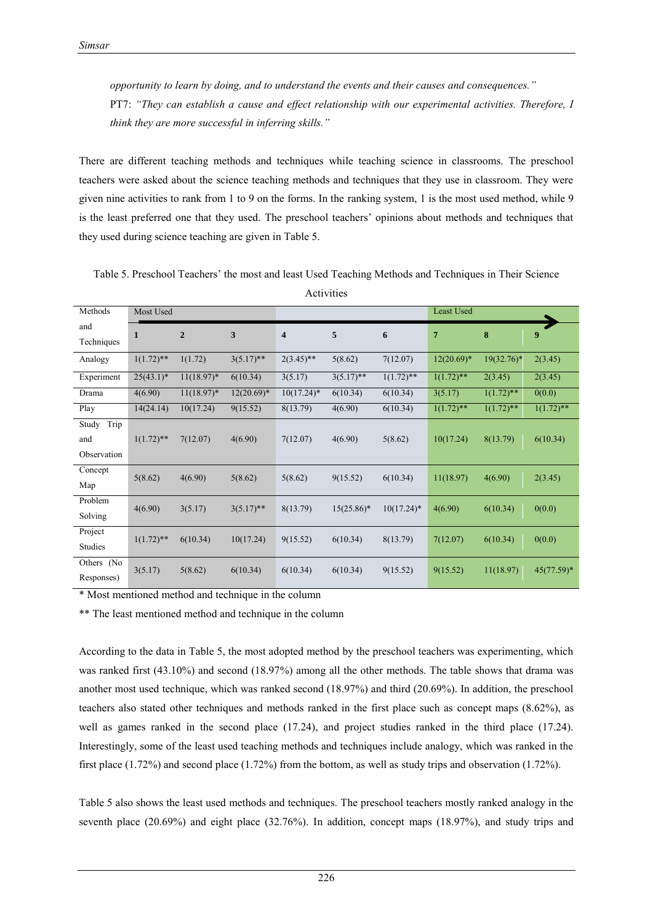*opportunity to learn by doing, and to understand the events and their causes and consequences."*  PT7: *"They can establish a cause and effect relationship with our experimental activities. Therefore, I think they are more successful in inferring skills."*

There are different teaching methods and techniques while teaching science in classrooms. The preschool teachers were asked about the science teaching methods and techniques that they use in classroom. They were given nine activities to rank from 1 to 9 on the forms. In the ranking system, 1 is the most used method, while 9 is the least preferred one that they used. The preschool teachers' opinions about methods and techniques that they used during science teaching are given in Table 5.

| Methods       | Most Used    |                |               |               |               |               | <b>Least Used</b> |               |               |
|---------------|--------------|----------------|---------------|---------------|---------------|---------------|-------------------|---------------|---------------|
| and           | $\mathbf{1}$ | $\overline{2}$ | 3             | 4             | 5             | 6             | 7                 | 8             | 9             |
| Techniques    |              |                |               |               |               |               |                   |               |               |
| Analogy       | $1(1.72)$ ** | 1(1.72)        | $3(5.17)$ **  | $2(3.45)$ **  | 5(8.62)       | 7(12.07)      | $12(20.69)^*$     | $19(32.76)^*$ | 2(3.45)       |
| Experiment    | $25(43.1)^*$ | $11(18.97)$ *  | 6(10.34)      | 3(5.17)       | $3(5.17)$ **  | $1(1.72)$ **  | $1(1.72)$ **      | 2(3.45)       | 2(3.45)       |
| Drama         | 4(6.90)      | $11(18.97)^*$  | $12(20.69)^*$ | $10(17.24)$ * | 6(10.34)      | 6(10.34)      | 3(5.17)           | $1(1.72)$ **  | 0(0.0)        |
| Play          | 14(24.14)    | 10(17.24)      | 9(15.52)      | 8(13.79)      | 4(6.90)       | 6(10.34)      | $1(1.72)$ **      | $1(1.72)$ **  | $1(1.72)$ **  |
| Trip<br>Study |              |                |               |               |               |               |                   |               |               |
| and           | $1(1.72)$ ** | 7(12.07)       | 4(6.90)       | 7(12.07)      | 4(6.90)       | 5(8.62)       | 10(17.24)         | 8(13.79)      | 6(10.34)      |
| Observation   |              |                |               |               |               |               |                   |               |               |
| Concept       | 5(8.62)      | 4(6.90)        | 5(8.62)       | 5(8.62)       | 9(15.52)      | 6(10.34)      | 11(18.97)         | 4(6.90)       | 2(3.45)       |
| Map           |              |                |               |               |               |               |                   |               |               |
| Problem       | 4(6.90)      | 3(5.17)        | $3(5.17)$ **  | 8(13.79)      | $15(25.86)^*$ | $10(17.24)$ * | 4(6.90)           | 6(10.34)      | 0(0.0)        |
| Solving       |              |                |               |               |               |               |                   |               |               |
| Project       | $1(1.72)$ ** | 6(10.34)       | 10(17.24)     | 9(15.52)      | 6(10.34)      | 8(13.79)      | 7(12.07)          | 6(10.34)      | 0(0.0)        |
| Studies       |              |                |               |               |               |               |                   |               |               |
| Others (No    | 3(5.17)      | 5(8.62)        | 6(10.34)      | 6(10.34)      | 6(10.34)      | 9(15.52)      | 9(15.52)          | 11(18.97)     | $45(77.59)^*$ |
| Responses)    |              |                |               |               |               |               |                   |               |               |

Table 5. Preschool Teachers' the most and least Used Teaching Methods and Techniques in Their Science Activities

\* Most mentioned method and technique in the column

\*\* The least mentioned method and technique in the column

According to the data in Table 5, the most adopted method by the preschool teachers was experimenting, which was ranked first (43.10%) and second (18.97%) among all the other methods. The table shows that drama was another most used technique, which was ranked second (18.97%) and third (20.69%). In addition, the preschool teachers also stated other techniques and methods ranked in the first place such as concept maps (8.62%), as well as games ranked in the second place (17.24), and project studies ranked in the third place (17.24). Interestingly, some of the least used teaching methods and techniques include analogy, which was ranked in the first place (1.72%) and second place (1.72%) from the bottom, as well as study trips and observation (1.72%).

Table 5 also shows the least used methods and techniques. The preschool teachers mostly ranked analogy in the seventh place (20.69%) and eight place (32.76%). In addition, concept maps (18.97%), and study trips and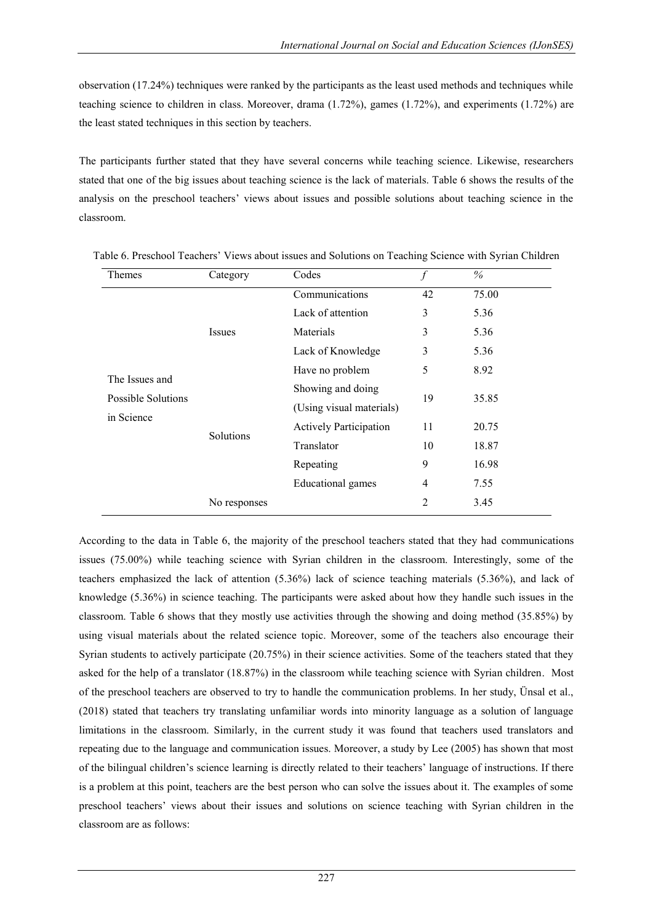observation (17.24%) techniques were ranked by the participants as the least used methods and techniques while teaching science to children in class. Moreover, drama (1.72%), games (1.72%), and experiments (1.72%) are the least stated techniques in this section by teachers.

The participants further stated that they have several concerns while teaching science. Likewise, researchers stated that one of the big issues about teaching science is the lack of materials. Table 6 shows the results of the analysis on the preschool teachers' views about issues and possible solutions about teaching science in the classroom.

| <b>Themes</b>      | Category      | Codes                         |                | $\%$  |
|--------------------|---------------|-------------------------------|----------------|-------|
|                    |               | Communications                | 42             | 75.00 |
|                    |               | Lack of attention             | 3              | 5.36  |
|                    | <b>Issues</b> | Materials                     | 3              | 5.36  |
|                    |               | Lack of Knowledge             | 3              | 5.36  |
|                    |               | Have no problem               | 5              | 8.92  |
| The Issues and     | Solutions     | Showing and doing             |                |       |
| Possible Solutions |               | (Using visual materials)      | 19             | 35.85 |
| in Science         |               | <b>Actively Participation</b> | 11             | 20.75 |
|                    |               | Translator                    | 10             | 18.87 |
|                    |               | Repeating                     | 9              | 16.98 |
|                    |               | Educational games             | $\overline{4}$ | 7.55  |
|                    | No responses  |                               | $\overline{2}$ | 3.45  |

Table 6. Preschool Teachers' Views about issues and Solutions on Teaching Science with Syrian Children

According to the data in Table 6, the majority of the preschool teachers stated that they had communications issues (75.00%) while teaching science with Syrian children in the classroom. Interestingly, some of the teachers emphasized the lack of attention (5.36%) lack of science teaching materials (5.36%), and lack of knowledge (5.36%) in science teaching. The participants were asked about how they handle such issues in the classroom. Table 6 shows that they mostly use activities through the showing and doing method (35.85%) by using visual materials about the related science topic. Moreover, some of the teachers also encourage their Syrian students to actively participate (20.75%) in their science activities. Some of the teachers stated that they asked for the help of a translator (18.87%) in the classroom while teaching science with Syrian children. Most of the preschool teachers are observed to try to handle the communication problems. In her study, Ünsal et al., (2018) stated that teachers try translating unfamiliar words into minority language as a solution of language limitations in the classroom. Similarly, in the current study it was found that teachers used translators and repeating due to the language and communication issues. Moreover, a study by Lee (2005) has shown that most of the bilingual children's science learning is directly related to their teachers' language of instructions. If there is a problem at this point, teachers are the best person who can solve the issues about it. The examples of some preschool teachers' views about their issues and solutions on science teaching with Syrian children in the classroom are as follows: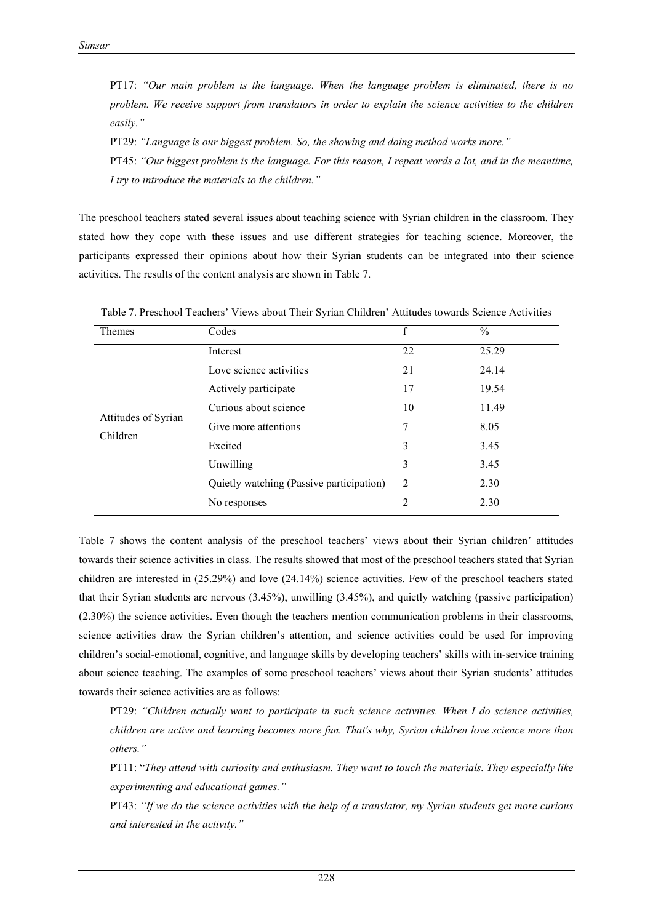PT17: *"Our main problem is the language. When the language problem is eliminated, there is no problem. We receive support from translators in order to explain the science activities to the children easily."* 

PT29: *"Language is our biggest problem. So, the showing and doing method works more."* 

PT45: *"Our biggest problem is the language. For this reason, I repeat words a lot, and in the meantime, I try to introduce the materials to the children."*

The preschool teachers stated several issues about teaching science with Syrian children in the classroom. They stated how they cope with these issues and use different strategies for teaching science. Moreover, the participants expressed their opinions about how their Syrian students can be integrated into their science activities. The results of the content analysis are shown in Table 7.

| Themes                          | Codes                                    | $\mathbf f$ | $\frac{0}{0}$ |
|---------------------------------|------------------------------------------|-------------|---------------|
|                                 | Interest                                 | 22          | 25.29         |
|                                 | Love science activities                  | 21          | 24.14         |
| Attitudes of Syrian<br>Children | Actively participate                     | 17          | 19.54         |
|                                 | Curious about science                    | 10          | 11.49         |
|                                 | Give more attentions                     | 7           | 8.05          |
|                                 | Excited                                  | 3           | 3.45          |
|                                 | Unwilling                                | 3           | 3.45          |
|                                 | Quietly watching (Passive participation) | 2           | 2.30          |
|                                 | No responses                             | 2           | 2.30          |

Table 7. Preschool Teachers' Views about Their Syrian Children' Attitudes towards Science Activities

Table 7 shows the content analysis of the preschool teachers' views about their Syrian children' attitudes towards their science activities in class. The results showed that most of the preschool teachers stated that Syrian children are interested in (25.29%) and love (24.14%) science activities. Few of the preschool teachers stated that their Syrian students are nervous (3.45%), unwilling (3.45%), and quietly watching (passive participation) (2.30%) the science activities. Even though the teachers mention communication problems in their classrooms, science activities draw the Syrian children's attention, and science activities could be used for improving children's social-emotional, cognitive, and language skills by developing teachers' skills with in-service training about science teaching. The examples of some preschool teachers' views about their Syrian students' attitudes towards their science activities are as follows:

PT29: *"Children actually want to participate in such science activities. When I do science activities, children are active and learning becomes more fun. That's why, Syrian children love science more than others."* 

PT11: "*They attend with curiosity and enthusiasm. They want to touch the materials. They especially like experimenting and educational games."* 

PT43: *"If we do the science activities with the help of a translator, my Syrian students get more curious and interested in the activity."*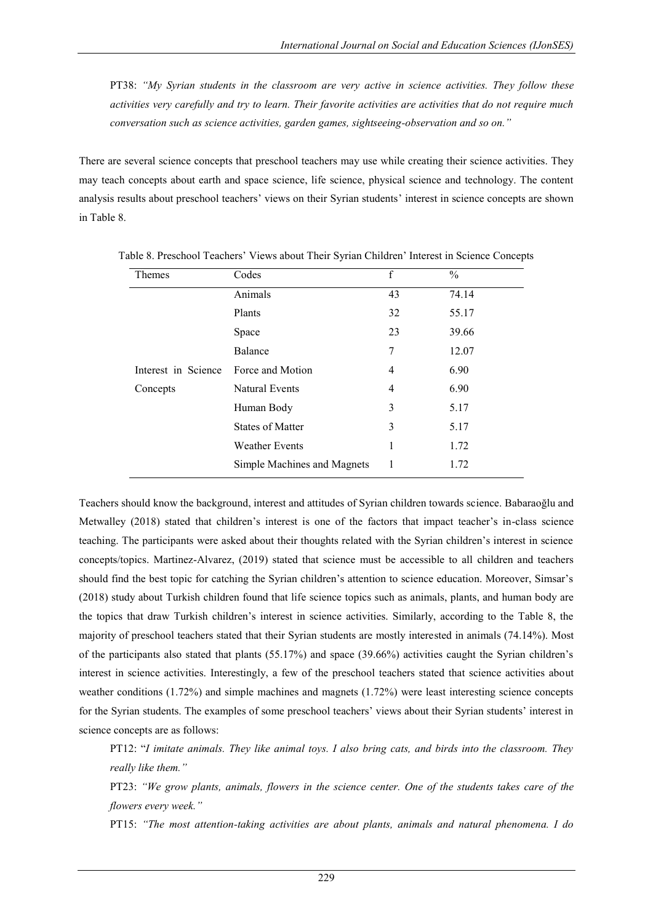PT38: *"My Syrian students in the classroom are very active in science activities. They follow these activities very carefully and try to learn. Their favorite activities are activities that do not require much conversation such as science activities, garden games, sightseeing-observation and so on."* 

There are several science concepts that preschool teachers may use while creating their science activities. They may teach concepts about earth and space science, life science, physical science and technology. The content analysis results about preschool teachers' views on their Syrian students' interest in science concepts are shown in Table 8.

| Themes              | Codes                       | $\mathbf f$ | $\frac{0}{0}$ |
|---------------------|-----------------------------|-------------|---------------|
|                     | Animals                     | 43          | 74.14         |
|                     | Plants                      | 32          | 55.17         |
|                     | Space                       | 23          | 39.66         |
|                     | Balance                     | 7           | 12.07         |
| Interest in Science | Force and Motion            | 4           | 6.90          |
| Concepts            | <b>Natural Events</b>       | 4           | 6.90          |
|                     | Human Body                  | 3           | 5.17          |
|                     | <b>States of Matter</b>     | 3           | 5.17          |
|                     | <b>Weather Events</b>       | 1           | 1.72          |
|                     | Simple Machines and Magnets | 1           | 1.72          |
|                     |                             |             |               |

Table 8. Preschool Teachers' Views about Their Syrian Children' Interest in Science Concepts

Teachers should know the background, interest and attitudes of Syrian children towards science. Babaraoğlu and Metwalley (2018) stated that children's interest is one of the factors that impact teacher's in-class science teaching. The participants were asked about their thoughts related with the Syrian children's interest in science concepts/topics. Martinez-Alvarez, (2019) stated that science must be accessible to all children and teachers should find the best topic for catching the Syrian children's attention to science education. Moreover, Simsar's (2018) study about Turkish children found that life science topics such as animals, plants, and human body are the topics that draw Turkish children's interest in science activities. Similarly, according to the Table 8, the majority of preschool teachers stated that their Syrian students are mostly interested in animals (74.14%). Most of the participants also stated that plants (55.17%) and space (39.66%) activities caught the Syrian children's interest in science activities. Interestingly, a few of the preschool teachers stated that science activities about weather conditions (1.72%) and simple machines and magnets (1.72%) were least interesting science concepts for the Syrian students. The examples of some preschool teachers' views about their Syrian students' interest in science concepts are as follows:

PT12: "*I imitate animals. They like animal toys. I also bring cats, and birds into the classroom. They really like them."* 

PT23: *"We grow plants, animals, flowers in the science center. One of the students takes care of the flowers every week."* 

PT15: *"The most attention-taking activities are about plants, animals and natural phenomena. I do*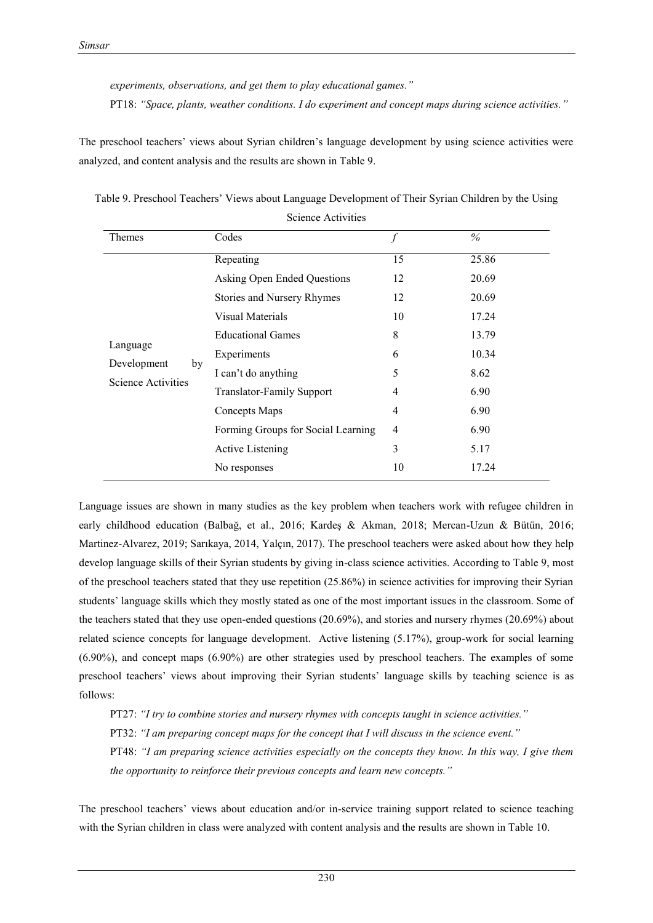*experiments, observations, and get them to play educational games."* 

PT18: *"Space, plants, weather conditions. I do experiment and concept maps during science activities."* 

The preschool teachers' views about Syrian children's language development by using science activities were analyzed, and content analysis and the results are shown in Table 9.

| Science Activities |                                    |                  |       |  |  |
|--------------------|------------------------------------|------------------|-------|--|--|
| Themes             | Codes                              | $\boldsymbol{f}$ | $\%$  |  |  |
|                    | Repeating                          | 15               | 25.86 |  |  |
|                    | Asking Open Ended Questions        | 12               | 20.69 |  |  |
|                    | Stories and Nursery Rhymes         | 12               | 20.69 |  |  |
|                    | Visual Materials                   | 10               | 17.24 |  |  |
|                    | <b>Educational Games</b>           | 8                | 13.79 |  |  |
| Language           | Experiments                        | 6                | 10.34 |  |  |
| Development<br>by  | I can't do anything                | 5                | 8.62  |  |  |
| Science Activities | <b>Translator-Family Support</b>   | 4                | 6.90  |  |  |
|                    | Concepts Maps                      | 4                | 6.90  |  |  |
|                    | Forming Groups for Social Learning | 4                | 6.90  |  |  |
|                    | <b>Active Listening</b>            | 3                | 5.17  |  |  |
|                    | No responses                       | 10               | 17.24 |  |  |

Table 9. Preschool Teachers' Views about Language Development of Their Syrian Children by the Using

Language issues are shown in many studies as the key problem when teachers work with refugee children in early childhood education (Balbağ, et al., 2016; Kardeş & Akman, 2018; Mercan-Uzun & Bütün, 2016; Martinez-Alvarez, 2019; Sarıkaya, 2014, Yalçın, 2017). The preschool teachers were asked about how they help develop language skills of their Syrian students by giving in-class science activities. According to Table 9, most of the preschool teachers stated that they use repetition (25.86%) in science activities for improving their Syrian students' language skills which they mostly stated as one of the most important issues in the classroom. Some of the teachers stated that they use open-ended questions (20.69%), and stories and nursery rhymes (20.69%) about related science concepts for language development. Active listening (5.17%), group-work for social learning (6.90%), and concept maps (6.90%) are other strategies used by preschool teachers. The examples of some preschool teachers' views about improving their Syrian students' language skills by teaching science is as follows:

PT27: *"I try to combine stories and nursery rhymes with concepts taught in science activities."*  PT32: *"I am preparing concept maps for the concept that I will discuss in the science event."*  PT48: *"I am preparing science activities especially on the concepts they know. In this way, I give them* 

The preschool teachers' views about education and/or in-service training support related to science teaching with the Syrian children in class were analyzed with content analysis and the results are shown in Table 10.

*the opportunity to reinforce their previous concepts and learn new concepts."*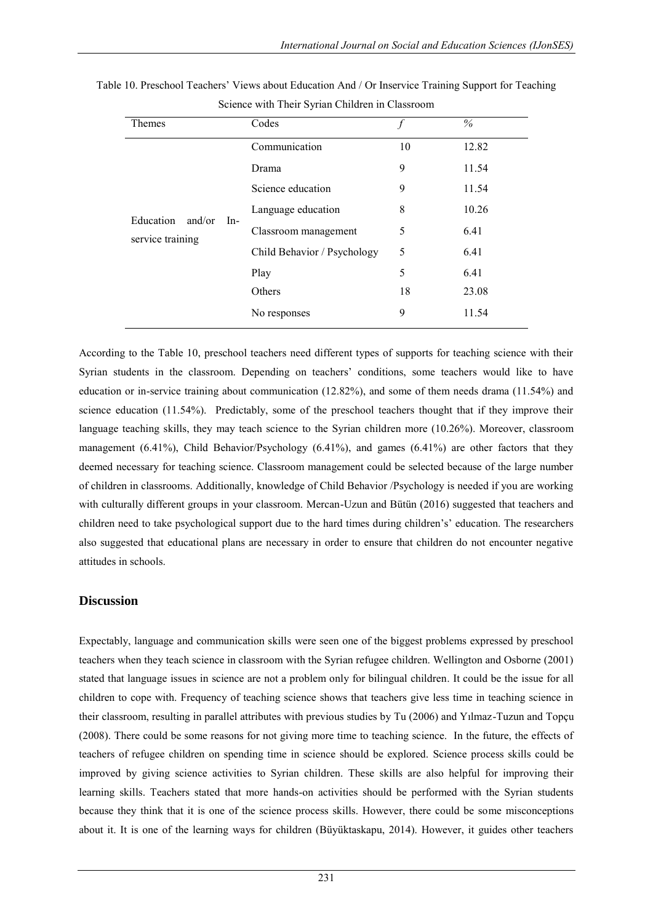| Communication<br>10<br>12.82                                   |  |
|----------------------------------------------------------------|--|
|                                                                |  |
| 9<br>11.54<br>Drama                                            |  |
| 9<br>Science education<br>11.54                                |  |
| 8<br>10.26<br>Language education<br>Education<br>and/or<br>In- |  |
| 5<br>6.41<br>Classroom management<br>service training          |  |
| Child Behavior / Psychology<br>5<br>6.41                       |  |
| 5<br>6.41<br>Play                                              |  |
| Others<br>18<br>23.08                                          |  |
| 9<br>11.54<br>No responses                                     |  |

Table 10. Preschool Teachers' Views about Education And / Or Inservice Training Support for Teaching Science with Their Syrian Children in Classroom

According to the Table 10, preschool teachers need different types of supports for teaching science with their Syrian students in the classroom. Depending on teachers' conditions, some teachers would like to have education or in-service training about communication (12.82%), and some of them needs drama (11.54%) and science education (11.54%). Predictably, some of the preschool teachers thought that if they improve their language teaching skills, they may teach science to the Syrian children more (10.26%). Moreover, classroom management (6.41%), Child Behavior/Psychology (6.41%), and games (6.41%) are other factors that they deemed necessary for teaching science. Classroom management could be selected because of the large number of children in classrooms. Additionally, knowledge of Child Behavior /Psychology is needed if you are working with culturally different groups in your classroom. Mercan-Uzun and Bütün (2016) suggested that teachers and children need to take psychological support due to the hard times during children's' education. The researchers also suggested that educational plans are necessary in order to ensure that children do not encounter negative attitudes in schools.

## **Discussion**

Expectably, language and communication skills were seen one of the biggest problems expressed by preschool teachers when they teach science in classroom with the Syrian refugee children. Wellington and Osborne (2001) stated that language issues in science are not a problem only for bilingual children. It could be the issue for all children to cope with. Frequency of teaching science shows that teachers give less time in teaching science in their classroom, resulting in parallel attributes with previous studies by Tu (2006) and Yılmaz-Tuzun and Topçu (2008). There could be some reasons for not giving more time to teaching science. In the future, the effects of teachers of refugee children on spending time in science should be explored. Science process skills could be improved by giving science activities to Syrian children. These skills are also helpful for improving their learning skills. Teachers stated that more hands-on activities should be performed with the Syrian students because they think that it is one of the science process skills. However, there could be some misconceptions about it. It is one of the learning ways for children (Büyüktaskapu, 2014). However, it guides other teachers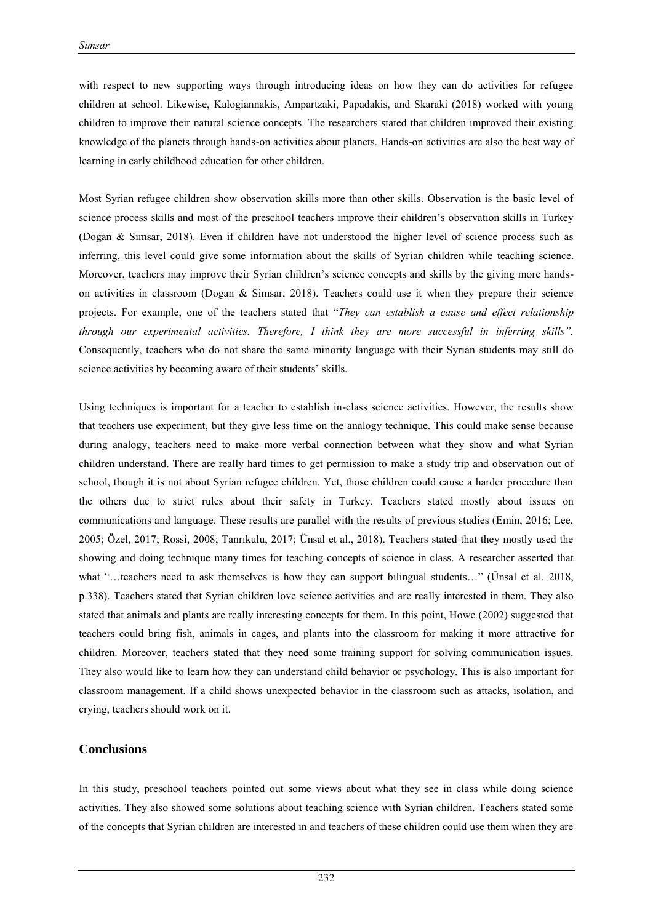with respect to new supporting ways through introducing ideas on how they can do activities for refugee children at school. Likewise, Kalogiannakis, Ampartzaki, Papadakis, and Skaraki (2018) worked with young children to improve their natural science concepts. The researchers stated that children improved their existing knowledge of the planets through hands-on activities about planets. Hands-on activities are also the best way of learning in early childhood education for other children.

Most Syrian refugee children show observation skills more than other skills. Observation is the basic level of science process skills and most of the preschool teachers improve their children's observation skills in Turkey (Dogan & Simsar, 2018). Even if children have not understood the higher level of science process such as inferring, this level could give some information about the skills of Syrian children while teaching science. Moreover, teachers may improve their Syrian children's science concepts and skills by the giving more handson activities in classroom (Dogan & Simsar, 2018). Teachers could use it when they prepare their science projects. For example, one of the teachers stated that "*They can establish a cause and effect relationship through our experimental activities. Therefore, I think they are more successful in inferring skills".*  Consequently, teachers who do not share the same minority language with their Syrian students may still do science activities by becoming aware of their students' skills.

Using techniques is important for a teacher to establish in-class science activities. However, the results show that teachers use experiment, but they give less time on the analogy technique. This could make sense because during analogy, teachers need to make more verbal connection between what they show and what Syrian children understand. There are really hard times to get permission to make a study trip and observation out of school, though it is not about Syrian refugee children. Yet, those children could cause a harder procedure than the others due to strict rules about their safety in Turkey. Teachers stated mostly about issues on communications and language. These results are parallel with the results of previous studies (Emin, 2016; Lee, 2005; Özel, 2017; Rossi, 2008; Tanrıkulu, 2017; Ünsal et al., 2018). Teachers stated that they mostly used the showing and doing technique many times for teaching concepts of science in class. A researcher asserted that what "…teachers need to ask themselves is how they can support bilingual students..." (Unsal et al. 2018, p.338). Teachers stated that Syrian children love science activities and are really interested in them. They also stated that animals and plants are really interesting concepts for them. In this point, Howe (2002) suggested that teachers could bring fish, animals in cages, and plants into the classroom for making it more attractive for children. Moreover, teachers stated that they need some training support for solving communication issues. They also would like to learn how they can understand child behavior or psychology. This is also important for classroom management. If a child shows unexpected behavior in the classroom such as attacks, isolation, and crying, teachers should work on it.

## **Conclusions**

In this study, preschool teachers pointed out some views about what they see in class while doing science activities. They also showed some solutions about teaching science with Syrian children. Teachers stated some of the concepts that Syrian children are interested in and teachers of these children could use them when they are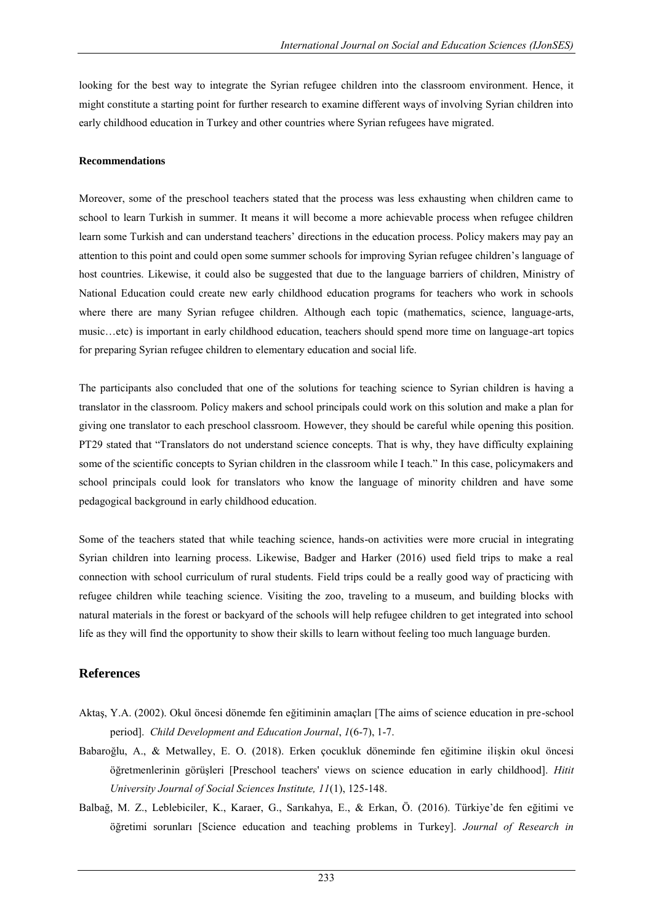looking for the best way to integrate the Syrian refugee children into the classroom environment. Hence, it might constitute a starting point for further research to examine different ways of involving Syrian children into early childhood education in Turkey and other countries where Syrian refugees have migrated.

## **Recommendations**

Moreover, some of the preschool teachers stated that the process was less exhausting when children came to school to learn Turkish in summer. It means it will become a more achievable process when refugee children learn some Turkish and can understand teachers' directions in the education process. Policy makers may pay an attention to this point and could open some summer schools for improving Syrian refugee children's language of host countries. Likewise, it could also be suggested that due to the language barriers of children, Ministry of National Education could create new early childhood education programs for teachers who work in schools where there are many Syrian refugee children. Although each topic (mathematics, science, language-arts, music…etc) is important in early childhood education, teachers should spend more time on language-art topics for preparing Syrian refugee children to elementary education and social life.

The participants also concluded that one of the solutions for teaching science to Syrian children is having a translator in the classroom. Policy makers and school principals could work on this solution and make a plan for giving one translator to each preschool classroom. However, they should be careful while opening this position. PT29 stated that "Translators do not understand science concepts. That is why, they have difficulty explaining some of the scientific concepts to Syrian children in the classroom while I teach." In this case, policymakers and school principals could look for translators who know the language of minority children and have some pedagogical background in early childhood education.

Some of the teachers stated that while teaching science, hands-on activities were more crucial in integrating Syrian children into learning process. Likewise, Badger and Harker (2016) used field trips to make a real connection with school curriculum of rural students. Field trips could be a really good way of practicing with refugee children while teaching science. Visiting the zoo, traveling to a museum, and building blocks with natural materials in the forest or backyard of the schools will help refugee children to get integrated into school life as they will find the opportunity to show their skills to learn without feeling too much language burden.

## **References**

- Aktaş, Y.A. (2002). Okul öncesi dönemde fen eğitiminin amaçları [The aims of science education in pre-school period]. *Child Development and Education Journal*, *1*(6-7), 1-7.
- Babaroğlu, A., & Metwalley, E. O. (2018). Erken çocukluk döneminde fen eğitimine ilişkin okul öncesi öğretmenlerinin görüşleri [Preschool teachers' views on science education in early childhood]. *Hitit University Journal of Social Sciences Institute, 11*(1), 125-148.
- Balbağ, M. Z., Leblebiciler, K., Karaer, G., Sarıkahya, E., & Erkan, Ö. (2016). Türkiye'de fen eğitimi ve öğretimi sorunları [Science education and teaching problems in Turkey]. *Journal of Research in*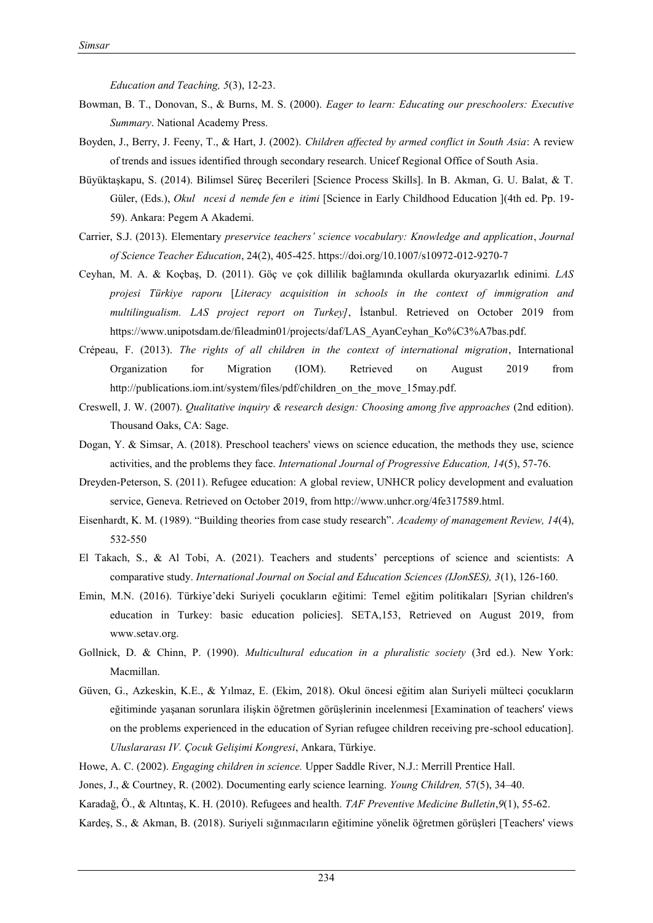*Education and Teaching, 5*(3), 12-23.

- Bowman, B. T., Donovan, S., & Burns, M. S. (2000). *Eager to learn: Educating our preschoolers: Executive Summary*. National Academy Press.
- Boyden, J., Berry, J. Feeny, T., & Hart, J. (2002). *Children affected by armed conflict in South Asia*: A review of trends and issues identified through secondary research. Unicef Regional Office of South Asia.
- Büyüktaşkapu, S. (2014). Bilimsel Süreç Becerileri [Science Process Skills]. In B. Akman, G. U. Balat, & T. Güler, (Eds.), *Okul ncesi d nemde fen e itimi* [Science in Early Childhood Education ](4th ed. Pp. 19- 59). Ankara: Pegem A Akademi.
- Carrier, S.J. (2013). Elementary *preservice teachers' science vocabulary: Knowledge and application*, *Journal of Science Teacher Education*, 24(2), 405-425. https://doi.org/10.1007/s10972-012-9270-7
- Ceyhan, M. A. & Koçbaş, D. (2011). Göç ve çok dillilik bağlamında okullarda okuryazarlık edinimi*. LAS projesi Türkiye raporu* [*Literacy acquisition in schools in the context of immigration and multilingualism. LAS project report on Turkey]*, İstanbul. Retrieved on October 2019 from https://www.unipotsdam.de/fileadmin01/projects/daf/LAS\_AyanCeyhan\_Ko%C3%A7bas.pdf.
- Crépeau, F. (2013). *The rights of all children in the context of international migration*, International Organization for Migration (IOM). Retrieved on August 2019 from http://publications.iom.int/system/files/pdf/children\_on\_the\_move\_15may.pdf.
- Creswell, J. W. (2007). *Qualitative inquiry & research design: Choosing among five approaches* (2nd edition). Thousand Oaks, CA: Sage.
- Dogan, Y. & Simsar, A. (2018). Preschool teachers' views on science education, the methods they use, science activities, and the problems they face. *International Journal of Progressive Education, 14*(5), 57-76.
- Dreyden-Peterson, S. (2011). Refugee education: A global review, UNHCR policy development and evaluation service, Geneva. Retrieved on October 2019, from http://www.unhcr.org/4fe317589.html.
- Eisenhardt, K. M. (1989). "Building theories from case study research". *Academy of management Review, 14*(4), 532-550
- El Takach, S., & Al Tobi, A. (2021). Teachers and students' perceptions of science and scientists: A comparative study. *International Journal on Social and Education Sciences (IJonSES), 3*(1), 126-160.
- Emin, M.N. (2016). Türkiye'deki Suriyeli çocukların eğitimi: Temel eğitim politikaları [Syrian children's education in Turkey: basic education policies]. SETA,153, Retrieved on August 2019, from www.setav.org.
- Gollnick, D. & Chinn, P. (1990). *Multicultural education in a pluralistic society* (3rd ed.). New York: Macmillan.
- Güven, G., Azkeskin, K.E., & Yılmaz, E. (Ekim, 2018). Okul öncesi eğitim alan Suriyeli mülteci çocukların eğitiminde yaşanan sorunlara ilişkin öğretmen görüşlerinin incelenmesi [Examination of teachers' views on the problems experienced in the education of Syrian refugee children receiving pre-school education]. *Uluslararası IV. Çocuk Gelişimi Kongresi*, Ankara, Türkiye.
- Howe, A. C. (2002). *Engaging children in science.* Upper Saddle River, N.J.: Merrill Prentice Hall.
- Jones, J., & Courtney, R. (2002). Documenting early science learning. *Young Children,* 57(5), 34–40.
- Karadağ, Ö., & Altıntaș, K. H. (2010). Refugees and health. *TAF Preventive Medicine Bulletin*,*9*(1), 55-62.
- Kardeş, S., & Akman, B. (2018). Suriyeli sığınmacıların eğitimine yönelik öğretmen görüşleri [Teachers' views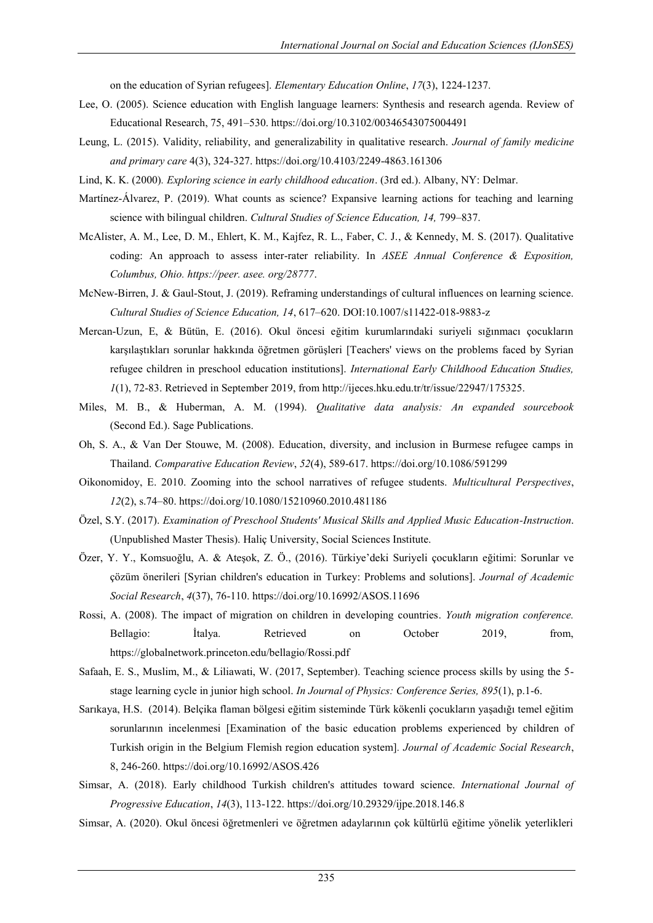on the education of Syrian refugees]. *Elementary Education Online*, *17*(3), 1224-1237.

- Lee, O. (2005). Science education with English language learners: Synthesis and research agenda. Review of Educational Research, 75, 491–530. https://doi.org/10.3102/00346543075004491
- Leung, L. (2015). Validity, reliability, and generalizability in qualitative research. *Journal of family medicine and primary care* 4(3), 324-327. https://doi.org/10.4103/2249-4863.161306
- Lind, K. K. (2000)*. Exploring science in early childhood education*. (3rd ed.). Albany, NY: Delmar.
- Martínez-Álvarez, P. (2019). What counts as science? Expansive learning actions for teaching and learning science with bilingual children. *Cultural Studies of Science Education, 14,* 799–837.
- McAlister, A. M., Lee, D. M., Ehlert, K. M., Kajfez, R. L., Faber, C. J., & Kennedy, M. S. (2017). Qualitative coding: An approach to assess inter-rater reliability. In *ASEE Annual Conference & Exposition, Columbus, Ohio. https://peer. asee. org/28777*.
- McNew-Birren, J. & Gaul-Stout, J. (2019). Reframing understandings of cultural influences on learning science. *Cultural Studies of Science Education, 14*, 617–620. DOI:10.1007/s11422-018-9883-z
- Mercan-Uzun, E, & Bütün, E. (2016). Okul öncesi eğitim kurumlarındaki suriyeli sığınmacı çocukların karşılaştıkları sorunlar hakkında öğretmen görüşleri [Teachers' views on the problems faced by Syrian refugee children in preschool education institutions]. *International Early Childhood Education Studies, 1*(1), 72-83. Retrieved in September 2019, from http://ijeces.hku.edu.tr/tr/issue/22947/175325.
- Miles, M. B., & Huberman, A. M. (1994). *Qualitative data analysis: An expanded sourcebook*  (Second Ed.). Sage Publications.
- Oh, S. A., & Van Der Stouwe, M. (2008). Education, diversity, and inclusion in Burmese refugee camps in Thailand. *Comparative Education Review*, *52*(4), 589-617. https://doi.org/10.1086/591299
- Oikonomidoy, E. 2010. Zooming into the school narratives of refugee students. *Multicultural Perspectives*, *12*(2), s.74–80. https://doi.org/10.1080/15210960.2010.481186
- Özel, S.Y. (2017). *Examination of Preschool Students' Musical Skills and Applied Music Education-Instruction*. (Unpublished Master Thesis). Haliç University, Social Sciences Institute.
- Özer, Y. Y., Komsuoğlu, A. & Ateşok, Z. Ö., (2016). Türkiye'deki Suriyeli çocukların eğitimi: Sorunlar ve çözüm önerileri [Syrian children's education in Turkey: Problems and solutions]. *Journal of Academic Social Research*, *4*(37), 76-110. https://doi.org/10.16992/ASOS.11696
- Rossi, A. (2008). The impact of migration on children in developing countries. *Youth migration conference.*  Bellagio: İtalya. Retrieved on October 2019, from, https://globalnetwork.princeton.edu/bellagio/Rossi.pdf
- Safaah, E. S., Muslim, M., & Liliawati, W. (2017, September). Teaching science process skills by using the 5 stage learning cycle in junior high school. *In Journal of Physics: Conference Series, 895*(1), p.1-6.
- Sarıkaya, H.S. (2014). Belçika flaman bölgesi eğitim sisteminde Türk kökenli çocukların yaşadığı temel eğitim sorunlarının incelenmesi [Examination of the basic education problems experienced by children of Turkish origin in the Belgium Flemish region education system]*. Journal of Academic Social Research*, 8, 246-260. https://doi.org/10.16992/ASOS.426
- Simsar, A. (2018). Early childhood Turkish children's attitudes toward science. *International Journal of Progressive Education*, *14*(3), 113-122. https://doi.org/10.29329/ijpe.2018.146.8
- Simsar, A. (2020). Okul öncesi öğretmenleri ve öğretmen adaylarının çok kültürlü eğitime yönelik yeterlikleri